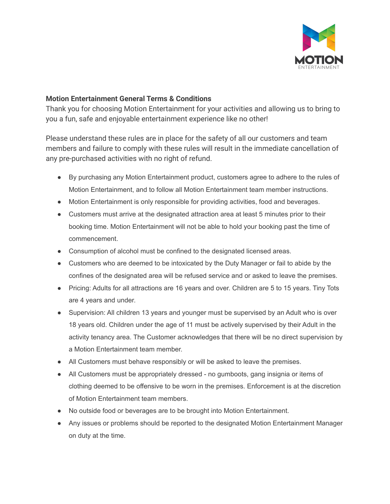

## **Motion Entertainment General Terms & Conditions**

Thank you for choosing Motion Entertainment for your activities and allowing us to bring to you a fun, safe and enjoyable entertainment experience like no other!

Please understand these rules are in place for the safety of all our customers and team members and failure to comply with these rules will result in the immediate cancellation of any pre-purchased activities with no right of refund.

- By purchasing any Motion Entertainment product, customers agree to adhere to the rules of Motion Entertainment, and to follow all Motion Entertainment team member instructions.
- Motion Entertainment is only responsible for providing activities, food and beverages.
- Customers must arrive at the designated attraction area at least 5 minutes prior to their booking time. Motion Entertainment will not be able to hold your booking past the time of commencement.
- Consumption of alcohol must be confined to the designated licensed areas.
- Customers who are deemed to be intoxicated by the Duty Manager or fail to abide by the confines of the designated area will be refused service and or asked to leave the premises.
- Pricing: Adults for all attractions are 16 years and over. Children are 5 to 15 years. Tiny Tots are 4 years and under.
- Supervision: All children 13 years and younger must be supervised by an Adult who is over 18 years old. Children under the age of 11 must be actively supervised by their Adult in the activity tenancy area. The Customer acknowledges that there will be no direct supervision by a Motion Entertainment team member.
- All Customers must behave responsibly or will be asked to leave the premises.
- All Customers must be appropriately dressed no gumboots, gang insignia or items of clothing deemed to be offensive to be worn in the premises. Enforcement is at the discretion of Motion Entertainment team members.
- No outside food or beverages are to be brought into Motion Entertainment.
- Any issues or problems should be reported to the designated Motion Entertainment Manager on duty at the time.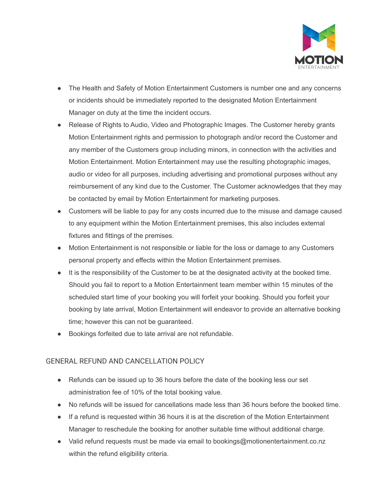

- The Health and Safety of Motion Entertainment Customers is number one and any concerns or incidents should be immediately reported to the designated Motion Entertainment Manager on duty at the time the incident occurs.
- Release of Rights to Audio, Video and Photographic Images. The Customer hereby grants Motion Entertainment rights and permission to photograph and/or record the Customer and any member of the Customers group including minors, in connection with the activities and Motion Entertainment. Motion Entertainment may use the resulting photographic images, audio or video for all purposes, including advertising and promotional purposes without any reimbursement of any kind due to the Customer. The Customer acknowledges that they may be contacted by email by Motion Entertainment for marketing purposes.
- Customers will be liable to pay for any costs incurred due to the misuse and damage caused to any equipment within the Motion Entertainment premises, this also includes external fixtures and fittings of the premises.
- Motion Entertainment is not responsible or liable for the loss or damage to any Customers personal property and effects within the Motion Entertainment premises.
- It is the responsibility of the Customer to be at the designated activity at the booked time. Should you fail to report to a Motion Entertainment team member within 15 minutes of the scheduled start time of your booking you will forfeit your booking. Should you forfeit your booking by late arrival, Motion Entertainment will endeavor to provide an alternative booking time; however this can not be guaranteed.
- Bookings forfeited due to late arrival are not refundable.

## GENERAL REFUND AND CANCELLATION POLICY

- Refunds can be issued up to 36 hours before the date of the booking less our set administration fee of 10% of the total booking value.
- No refunds will be issued for cancellations made less than 36 hours before the booked time.
- If a refund is requested within 36 hours it is at the discretion of the Motion Entertainment Manager to reschedule the booking for another suitable time without additional charge.
- Valid refund requests must be made via email to bookings@motionentertainment.co.nz within the refund eligibility criteria.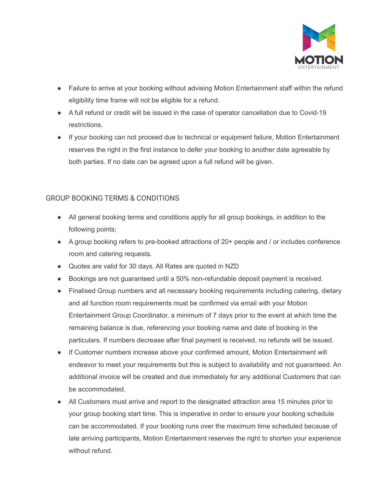

- Failure to arrive at your booking without advising Motion Entertainment staff within the refund eligibility time frame will not be eligible for a refund.
- A full refund or credit will be issued in the case of operator cancellation due to Covid-19 restrictions.
- If your booking can not proceed due to technical or equipment failure, Motion Entertainment reserves the right in the first instance to defer your booking to another date agreeable by both parties. If no date can be agreed upon a full refund will be given.

## GROUP BOOKING TERMS & CONDITIONS

- All general booking terms and conditions apply for all group bookings, in addition to the following points;
- A group booking refers to pre-booked attractions of 20+ people and / or includes conference room and catering requests.
- Quotes are valid for 30 days. All Rates are quoted in NZD
- Bookings are not guaranteed until a 50% non-refundable deposit payment is received.
- Finalised Group numbers and all necessary booking requirements including catering, dietary and all function room requirements must be confirmed via email with your Motion Entertainment Group Coordinator, a minimum of 7 days prior to the event at which time the remaining balance is due, referencing your booking name and date of booking in the particulars. If numbers decrease after final payment is received, no refunds will be issued.
- If Customer numbers increase above your confirmed amount, Motion Entertainment will endeavor to meet your requirements but this is subject to availability and not guaranteed. An additional invoice will be created and due immediately for any additional Customers that can be accommodated.
- All Customers must arrive and report to the designated attraction area 15 minutes prior to your group booking start time. This is imperative in order to ensure your booking schedule can be accommodated. If your booking runs over the maximum time scheduled because of late arriving participants, Motion Entertainment reserves the right to shorten your experience without refund.